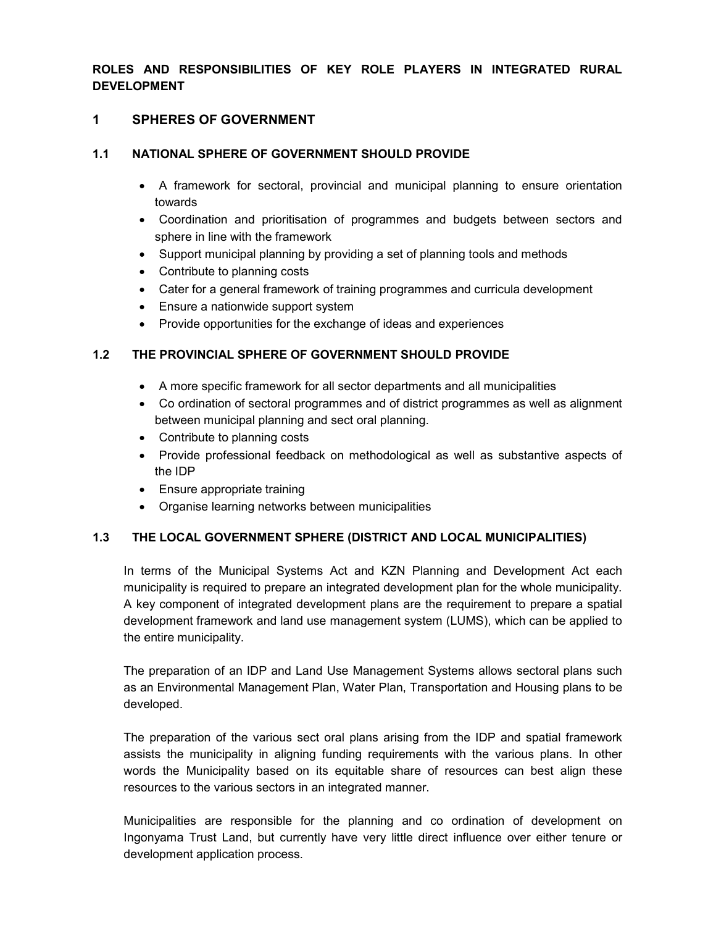**ROLES AND RESPONSIBILITIES OF KEY ROLE PLAYERS IN INTEGRATED RURAL DEVELOPMENT** 

### **1 SPHERES OF GOVERNMENT**

# **1.1 NATIONAL SPHERE OF GOVERNMENT SHOULD PROVIDE**

- A framework for sectoral, provincial and municipal planning to ensure orientation towards
- Coordination and prioritisation of programmes and budgets between sectors and sphere in line with the framework
- Support municipal planning by providing a set of planning tools and methods
- Contribute to planning costs
- Cater for a general framework of training programmes and curricula development
- Ensure a nationwide support system
- Provide opportunities for the exchange of ideas and experiences

# **1.2 THE PROVINCIAL SPHERE OF GOVERNMENT SHOULD PROVIDE**

- A more specific framework for all sector departments and all municipalities
- Co ordination of sectoral programmes and of district programmes as well as alignment between municipal planning and sect oral planning.
- Contribute to planning costs
- Provide professional feedback on methodological as well as substantive aspects of the IDP
- Ensure appropriate training
- Organise learning networks between municipalities

# **1.3 THE LOCAL GOVERNMENT SPHERE (DISTRICT AND LOCAL MUNICIPALITIES)**

In terms of the Municipal Systems Act and KZN Planning and Development Act each municipality is required to prepare an integrated development plan for the whole municipality. A key component of integrated development plans are the requirement to prepare a spatial development framework and land use management system (LUMS), which can be applied to the entire municipality.

The preparation of an IDP and Land Use Management Systems allows sectoral plans such as an Environmental Management Plan, Water Plan, Transportation and Housing plans to be developed.

The preparation of the various sect oral plans arising from the IDP and spatial framework assists the municipality in aligning funding requirements with the various plans. In other words the Municipality based on its equitable share of resources can best align these resources to the various sectors in an integrated manner.

Municipalities are responsible for the planning and co ordination of development on Ingonyama Trust Land, but currently have very little direct influence over either tenure or development application process.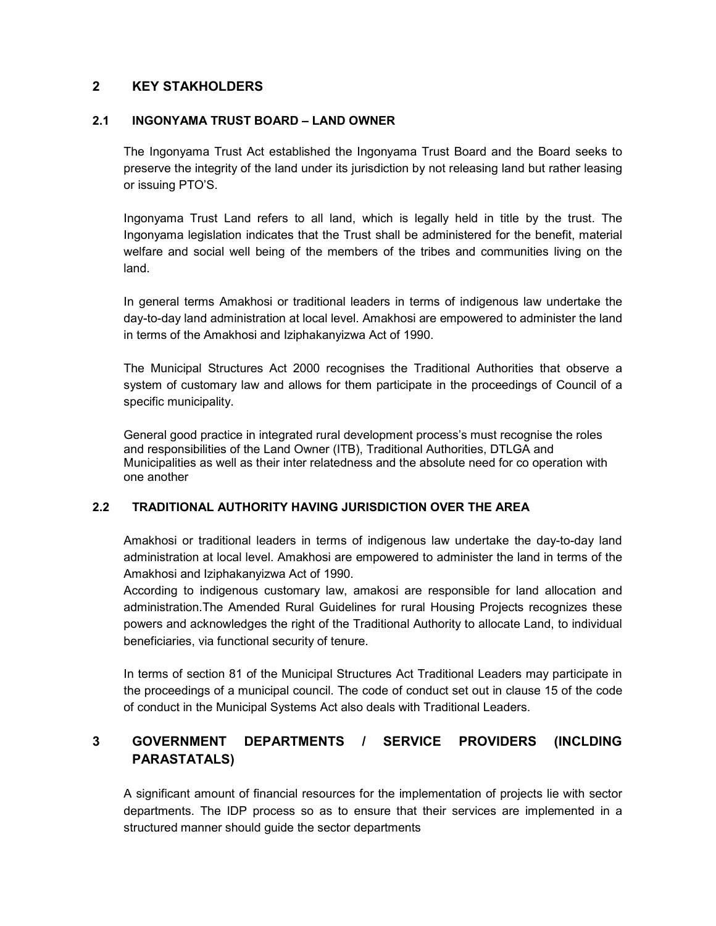# **2 KEY STAKHOLDERS**

### **2.1 INGONYAMA TRUST BOARD – LAND OWNER**

The Ingonyama Trust Act established the Ingonyama Trust Board and the Board seeks to preserve the integrity of the land under its jurisdiction by not releasing land but rather leasing or issuing PTO'S.

Ingonyama Trust Land refers to all land, which is legally held in title by the trust. The Ingonyama legislation indicates that the Trust shall be administered for the benefit, material welfare and social well being of the members of the tribes and communities living on the land.

In general terms Amakhosi or traditional leaders in terms of indigenous law undertake the day-to-day land administration at local level. Amakhosi are empowered to administer the land in terms of the Amakhosi and Iziphakanyizwa Act of 1990.

The Municipal Structures Act 2000 recognises the Traditional Authorities that observe a system of customary law and allows for them participate in the proceedings of Council of a specific municipality.

General good practice in integrated rural development process's must recognise the roles and responsibilities of the Land Owner (ITB), Traditional Authorities, DTLGA and Municipalities as well as their inter relatedness and the absolute need for co operation with one another

# **2.2 TRADITIONAL AUTHORITY HAVING JURISDICTION OVER THE AREA**

Amakhosi or traditional leaders in terms of indigenous law undertake the day-to-day land administration at local level. Amakhosi are empowered to administer the land in terms of the Amakhosi and Iziphakanyizwa Act of 1990.

According to indigenous customary law, amakosi are responsible for land allocation and administration.The Amended Rural Guidelines for rural Housing Projects recognizes these powers and acknowledges the right of the Traditional Authority to allocate Land, to individual beneficiaries, via functional security of tenure.

In terms of section 81 of the Municipal Structures Act Traditional Leaders may participate in the proceedings of a municipal council. The code of conduct set out in clause 15 of the code of conduct in the Municipal Systems Act also deals with Traditional Leaders.

# **3 GOVERNMENT DEPARTMENTS / SERVICE PROVIDERS (INCLDING PARASTATALS)**

A significant amount of financial resources for the implementation of projects lie with sector departments. The IDP process so as to ensure that their services are implemented in a structured manner should guide the sector departments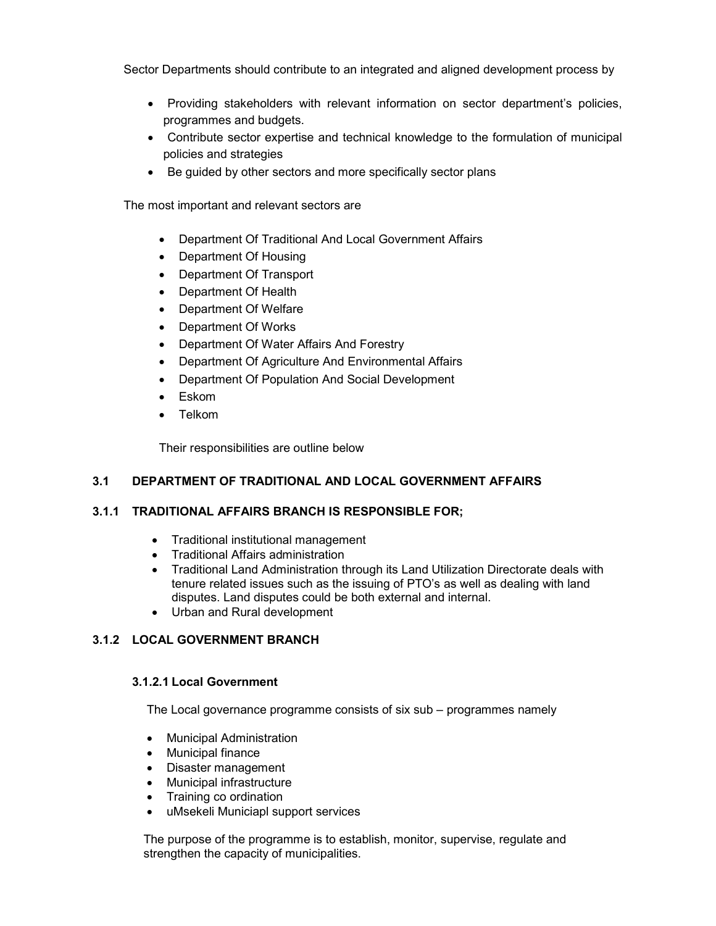Sector Departments should contribute to an integrated and aligned development process by

- Providing stakeholders with relevant information on sector department's policies, programmes and budgets.
- Contribute sector expertise and technical knowledge to the formulation of municipal policies and strategies
- Be guided by other sectors and more specifically sector plans

The most important and relevant sectors are

- Department Of Traditional And Local Government Affairs
- Department Of Housing
- Department Of Transport
- Department Of Health
- Department Of Welfare
- Department Of Works
- Department Of Water Affairs And Forestry
- Department Of Agriculture And Environmental Affairs
- Department Of Population And Social Development
- Eskom
- Telkom

Their responsibilities are outline below

### **3.1 DEPARTMENT OF TRADITIONAL AND LOCAL GOVERNMENT AFFAIRS**

### **3.1.1 TRADITIONAL AFFAIRS BRANCH IS RESPONSIBLE FOR;**

- Traditional institutional management
- Traditional Affairs administration
- Traditional Land Administration through its Land Utilization Directorate deals with tenure related issues such as the issuing of PTO's as well as dealing with land disputes. Land disputes could be both external and internal.
- Urban and Rural development

# **3.1.2 LOCAL GOVERNMENT BRANCH**

### **3.1.2.1 Local Government**

The Local governance programme consists of six sub – programmes namely

- Municipal Administration
- Municipal finance
- Disaster management
- Municipal infrastructure
- Training co ordination
- uMsekeli Municiapl support services

The purpose of the programme is to establish, monitor, supervise, regulate and strengthen the capacity of municipalities.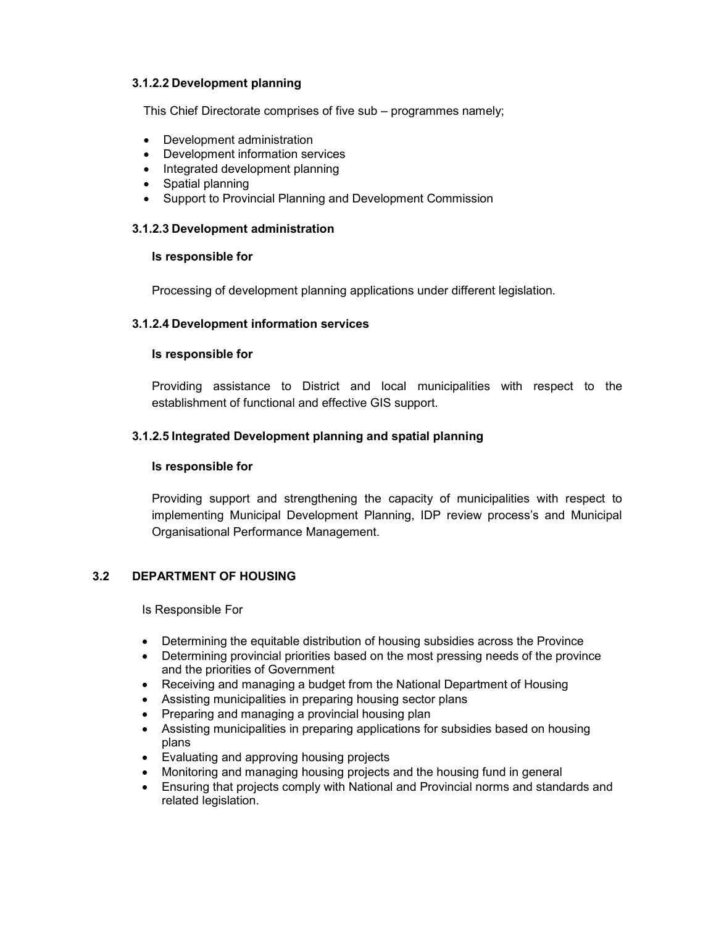### **3.1.2.2 Development planning**

This Chief Directorate comprises of five sub – programmes namely;

- Development administration
- Development information services
- Integrated development planning
- Spatial planning
- Support to Provincial Planning and Development Commission

### **3.1.2.3 Development administration**

#### **Is responsible for**

Processing of development planning applications under different legislation.

### **3.1.2.4 Development information services**

### **Is responsible for**

Providing assistance to District and local municipalities with respect to the establishment of functional and effective GIS support.

### **3.1.2.5 Integrated Development planning and spatial planning**

### **Is responsible for**

Providing support and strengthening the capacity of municipalities with respect to implementing Municipal Development Planning, IDP review process's and Municipal Organisational Performance Management.

### **3.2 DEPARTMENT OF HOUSING**

Is Responsible For

- Determining the equitable distribution of housing subsidies across the Province
- Determining provincial priorities based on the most pressing needs of the province and the priorities of Government
- Receiving and managing a budget from the National Department of Housing
- Assisting municipalities in preparing housing sector plans
- Preparing and managing a provincial housing plan
- Assisting municipalities in preparing applications for subsidies based on housing plans
- Evaluating and approving housing projects
- Monitoring and managing housing projects and the housing fund in general
- Ensuring that projects comply with National and Provincial norms and standards and related legislation.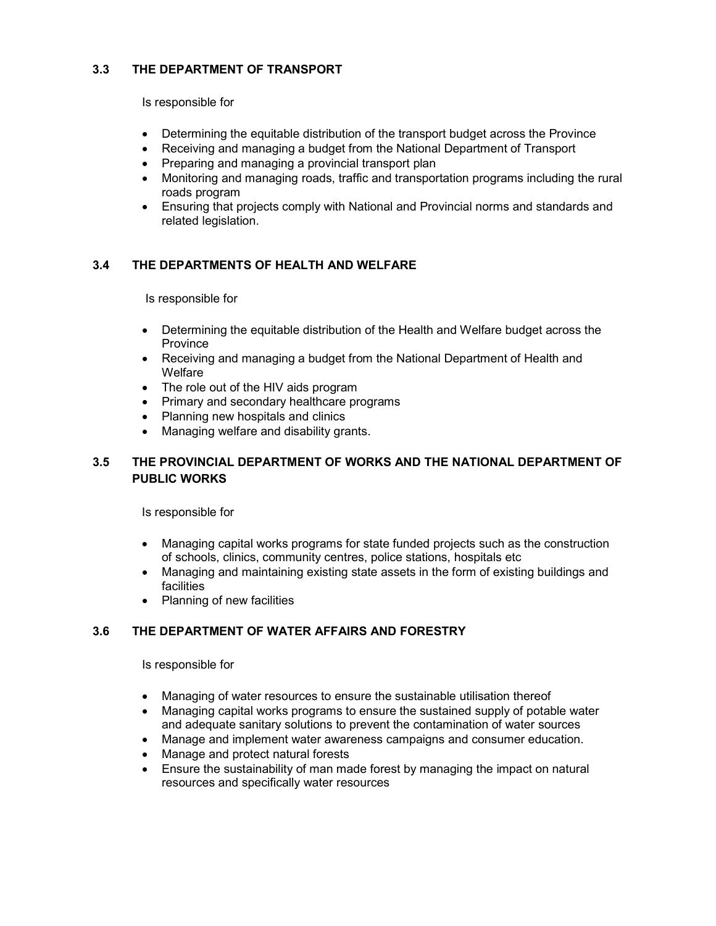### **3.3 THE DEPARTMENT OF TRANSPORT**

Is responsible for

- Determining the equitable distribution of the transport budget across the Province
- Receiving and managing a budget from the National Department of Transport
- Preparing and managing a provincial transport plan
- Monitoring and managing roads, traffic and transportation programs including the rural roads program
- Ensuring that projects comply with National and Provincial norms and standards and related legislation.

# **3.4 THE DEPARTMENTS OF HEALTH AND WELFARE**

Is responsible for

- Determining the equitable distribution of the Health and Welfare budget across the Province
- Receiving and managing a budget from the National Department of Health and Welfare
- The role out of the HIV aids program
- Primary and secondary healthcare programs
- Planning new hospitals and clinics
- Managing welfare and disability grants.

# **3.5 THE PROVINCIAL DEPARTMENT OF WORKS AND THE NATIONAL DEPARTMENT OF PUBLIC WORKS**

Is responsible for

- Managing capital works programs for state funded projects such as the construction of schools, clinics, community centres, police stations, hospitals etc
- Managing and maintaining existing state assets in the form of existing buildings and facilities
- Planning of new facilities

# **3.6 THE DEPARTMENT OF WATER AFFAIRS AND FORESTRY**

Is responsible for

- Managing of water resources to ensure the sustainable utilisation thereof
- Managing capital works programs to ensure the sustained supply of potable water and adequate sanitary solutions to prevent the contamination of water sources
- Manage and implement water awareness campaigns and consumer education.
- Manage and protect natural forests
- Ensure the sustainability of man made forest by managing the impact on natural resources and specifically water resources